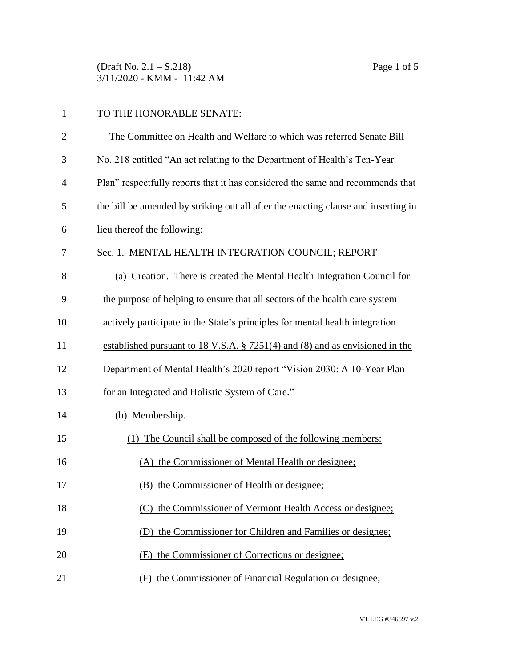(Draft No. 2.1 – S.218) Page 1 of 5 3/11/2020 - KMM - 11:42 AM

| 1              | TO THE HONORABLE SENATE:                                                           |
|----------------|------------------------------------------------------------------------------------|
| $\overline{2}$ | The Committee on Health and Welfare to which was referred Senate Bill              |
| 3              | No. 218 entitled "An act relating to the Department of Health's Ten-Year           |
| 4              | Plan" respectfully reports that it has considered the same and recommends that     |
| 5              | the bill be amended by striking out all after the enacting clause and inserting in |
| 6              | lieu thereof the following:                                                        |
| 7              | Sec. 1. MENTAL HEALTH INTEGRATION COUNCIL; REPORT                                  |
| 8              | (a) Creation. There is created the Mental Health Integration Council for           |
| 9              | the purpose of helping to ensure that all sectors of the health care system        |
| 10             | actively participate in the State's principles for mental health integration       |
| 11             | established pursuant to 18 V.S.A. $\S$ 7251(4) and (8) and as envisioned in the    |
| 12             | Department of Mental Health's 2020 report "Vision 2030: A 10-Year Plan             |
| 13             | for an Integrated and Holistic System of Care."                                    |
| 14             | (b) Membership.                                                                    |
| 15             | (1) The Council shall be composed of the following members:                        |
| 16             | (A) the Commissioner of Mental Health or designee;                                 |
| 17             | (B) the Commissioner of Health or designee;                                        |
| 18             | the Commissioner of Vermont Health Access or designee;<br>(C)                      |
| 19             | the Commissioner for Children and Families or designee;<br>(D)                     |
| 20             | the Commissioner of Corrections or designee;<br>(E)                                |
| 21             | (F) the Commissioner of Financial Regulation or designee;                          |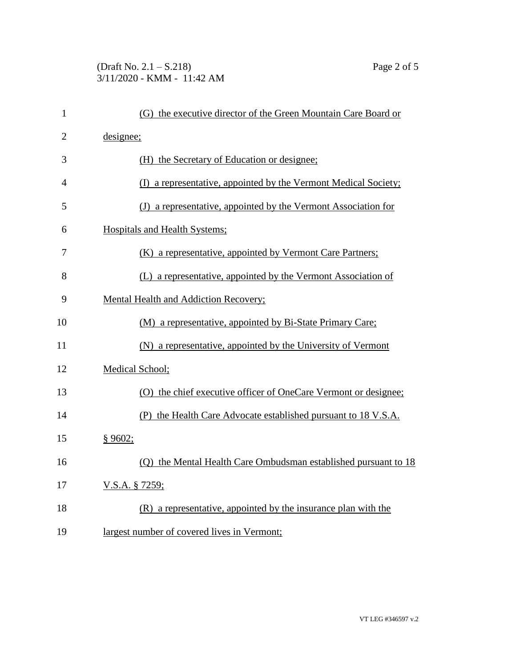## (Draft No. 2.1 – S.218) Page 2 of 5 3/11/2020 - KMM - 11:42 AM

| 1              |                 | (G) the executive director of the Green Mountain Care Board or  |
|----------------|-----------------|-----------------------------------------------------------------|
| $\overline{2}$ | designee;       |                                                                 |
| 3              |                 | (H) the Secretary of Education or designee;                     |
| 4              |                 | (I) a representative, appointed by the Vermont Medical Society; |
| 5              |                 | (J) a representative, appointed by the Vermont Association for  |
| 6              |                 | <b>Hospitals and Health Systems;</b>                            |
| 7              |                 | (K) a representative, appointed by Vermont Care Partners;       |
| 8              |                 | (L) a representative, appointed by the Vermont Association of   |
| 9              |                 | <b>Mental Health and Addiction Recovery;</b>                    |
| 10             |                 | (M) a representative, appointed by Bi-State Primary Care;       |
| 11             |                 | (N) a representative, appointed by the University of Vermont    |
| 12             | Medical School; |                                                                 |
| 13             |                 | (O) the chief executive officer of OneCare Vermont or designee; |
| 14             |                 | (P) the Health Care Advocate established pursuant to 18 V.S.A.  |
| 15             | \$9602;         |                                                                 |
| 16             |                 | (Q) the Mental Health Care Ombudsman established pursuant to 18 |
| 17             | V.S.A. § 7259;  |                                                                 |
|                |                 |                                                                 |

19 largest number of covered lives in Vermont;

18 (R) a representative, appointed by the insurance plan with the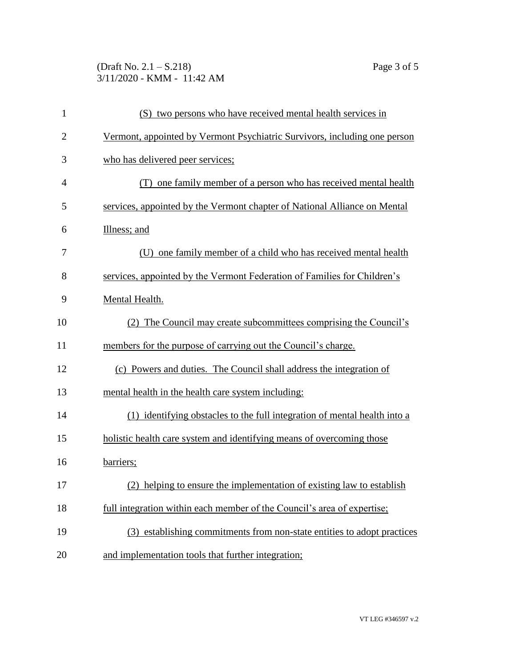## (Draft No. 2.1 – S.218) Page 3 of 5 3/11/2020 - KMM - 11:42 AM

| $\mathbf{1}$   | (S) two persons who have received mental health services in               |
|----------------|---------------------------------------------------------------------------|
| $\overline{2}$ | Vermont, appointed by Vermont Psychiatric Survivors, including one person |
| 3              | who has delivered peer services;                                          |
| 4              | (T) one family member of a person who has received mental health          |
| 5              | services, appointed by the Vermont chapter of National Alliance on Mental |
| 6              | Illness; and                                                              |
| 7              | (U) one family member of a child who has received mental health           |
| 8              | services, appointed by the Vermont Federation of Families for Children's  |
| 9              | Mental Health.                                                            |
| 10             | (2) The Council may create subcommittees comprising the Council's         |
| 11             | members for the purpose of carrying out the Council's charge.             |
| 12             | (c) Powers and duties. The Council shall address the integration of       |
| 13             | mental health in the health care system including:                        |
| 14             | (1) identifying obstacles to the full integration of mental health into a |
| 15             | holistic health care system and identifying means of overcoming those     |
| 16             | barriers;                                                                 |
| 17             | helping to ensure the implementation of existing law to establish         |
| 18             | full integration within each member of the Council's area of expertise;   |
| 19             | (3) establishing commitments from non-state entities to adopt practices   |
| 20             | and implementation tools that further integration;                        |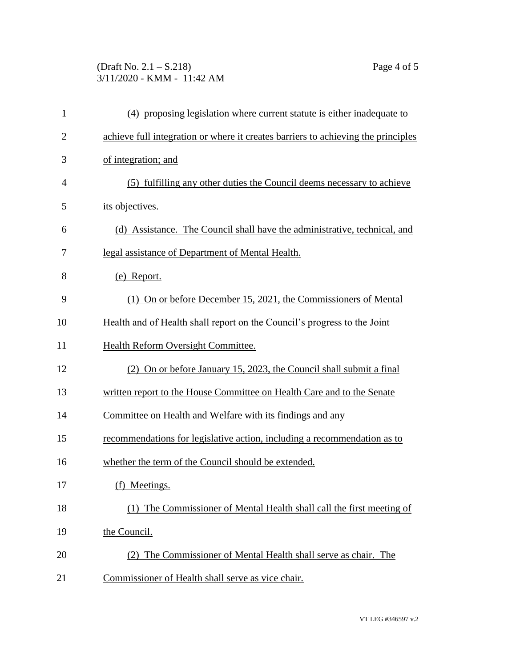## (Draft No. 2.1 – S.218) Page 4 of 5 3/11/2020 - KMM - 11:42 AM

| $\mathbf{1}$   | (4) proposing legislation where current statute is either inadequate to           |
|----------------|-----------------------------------------------------------------------------------|
| $\overline{2}$ | achieve full integration or where it creates barriers to achieving the principles |
| 3              | of integration; and                                                               |
| 4              | (5) fulfilling any other duties the Council deems necessary to achieve            |
| 5              | its objectives.                                                                   |
| 6              | (d) Assistance. The Council shall have the administrative, technical, and         |
| 7              | legal assistance of Department of Mental Health.                                  |
| 8              | (e) Report.                                                                       |
| 9              | (1) On or before December 15, 2021, the Commissioners of Mental                   |
| 10             | Health and of Health shall report on the Council's progress to the Joint          |
| 11             | Health Reform Oversight Committee.                                                |
| 12             | (2) On or before January 15, 2023, the Council shall submit a final               |
| 13             | written report to the House Committee on Health Care and to the Senate            |
| 14             | Committee on Health and Welfare with its findings and any                         |
| 15             | recommendations for legislative action, including a recommendation as to          |
| 16             | whether the term of the Council should be extended.                               |
| 17             | Meetings.<br>(f)                                                                  |
| 18             | (1) The Commissioner of Mental Health shall call the first meeting of             |
| 19             | the Council.                                                                      |
| 20             | (2) The Commissioner of Mental Health shall serve as chair. The                   |
| 21             | Commissioner of Health shall serve as vice chair.                                 |